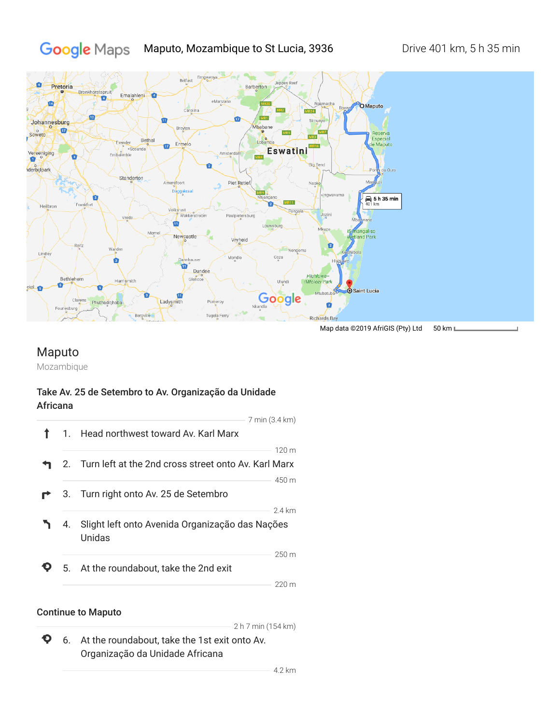#### Google Maps Maputo, Mozambique to St Lucia, 3936 Drive 401 km, 5 h 35 min



## Maputo

Mozambique

## Take Av. 25 de Setembro to Av. Organização da Unidade Africana



### Continue to Maputo

2 h 7 min (154 km)

 $\ddot{\mathbf{O}}$ 6. At the roundabout, take the 1st exit onto Av. Organização da Unidade Africana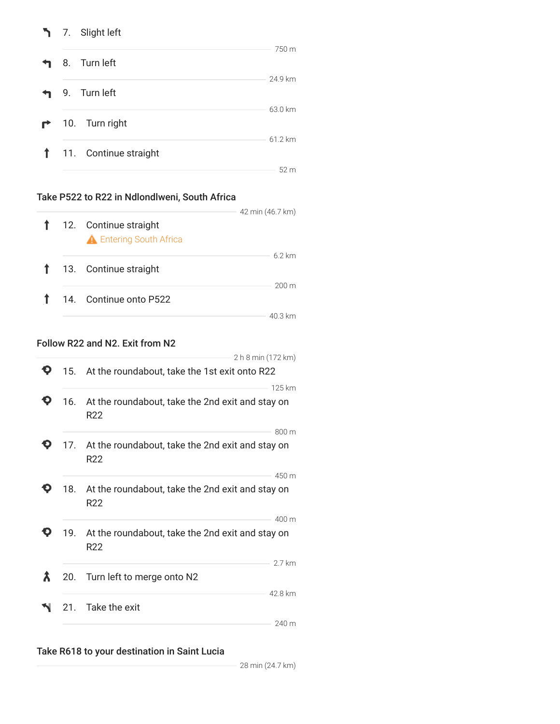|   | 7. Slight left        |         |
|---|-----------------------|---------|
|   | 8. Turn left          | 750 m   |
|   | 9. Turn left          | 24.9 km |
| ₹ | 10. Turn right        | 63.0 km |
|   | 11. Continue straight | 61.2 km |
|   |                       | 52 m    |

## Take P522 to R22 in Ndlondlweni, South Africa

|  | 42 min (46.7 km)                                                                                             |
|--|--------------------------------------------------------------------------------------------------------------|
|  | 62 km                                                                                                        |
|  | $200 \text{ m}$                                                                                              |
|  | 12. Continue straight<br><b>A</b> Entering South Africa<br>1 13. Continue straight<br>14. Continue onto P522 |

## Follow R22 and N2. Exit from N2

|     | 2 h 8 min (172 km)                                                               |
|-----|----------------------------------------------------------------------------------|
|     | 15. At the roundabout, take the 1st exit onto R22                                |
| 16. | 125 km<br>At the roundabout, take the 2nd exit and stay on<br>R <sub>22</sub>    |
|     | 800 m<br>17. At the roundabout, take the 2nd exit and stay on<br>R <sub>22</sub> |
| 18. | 450 m<br>At the roundabout, take the 2nd exit and stay on<br>R <sub>22</sub>     |
| 19. | 400 m<br>At the roundabout, take the 2nd exit and stay on<br>R <sub>22</sub>     |
| 20. | 2.7 km<br>Turn left to merge onto N2                                             |
| 21. | 42.8 km<br>Take the exit                                                         |
|     | 240 m                                                                            |

## Take R618 to your destination in Saint Lucia

28 min (24.7 km)